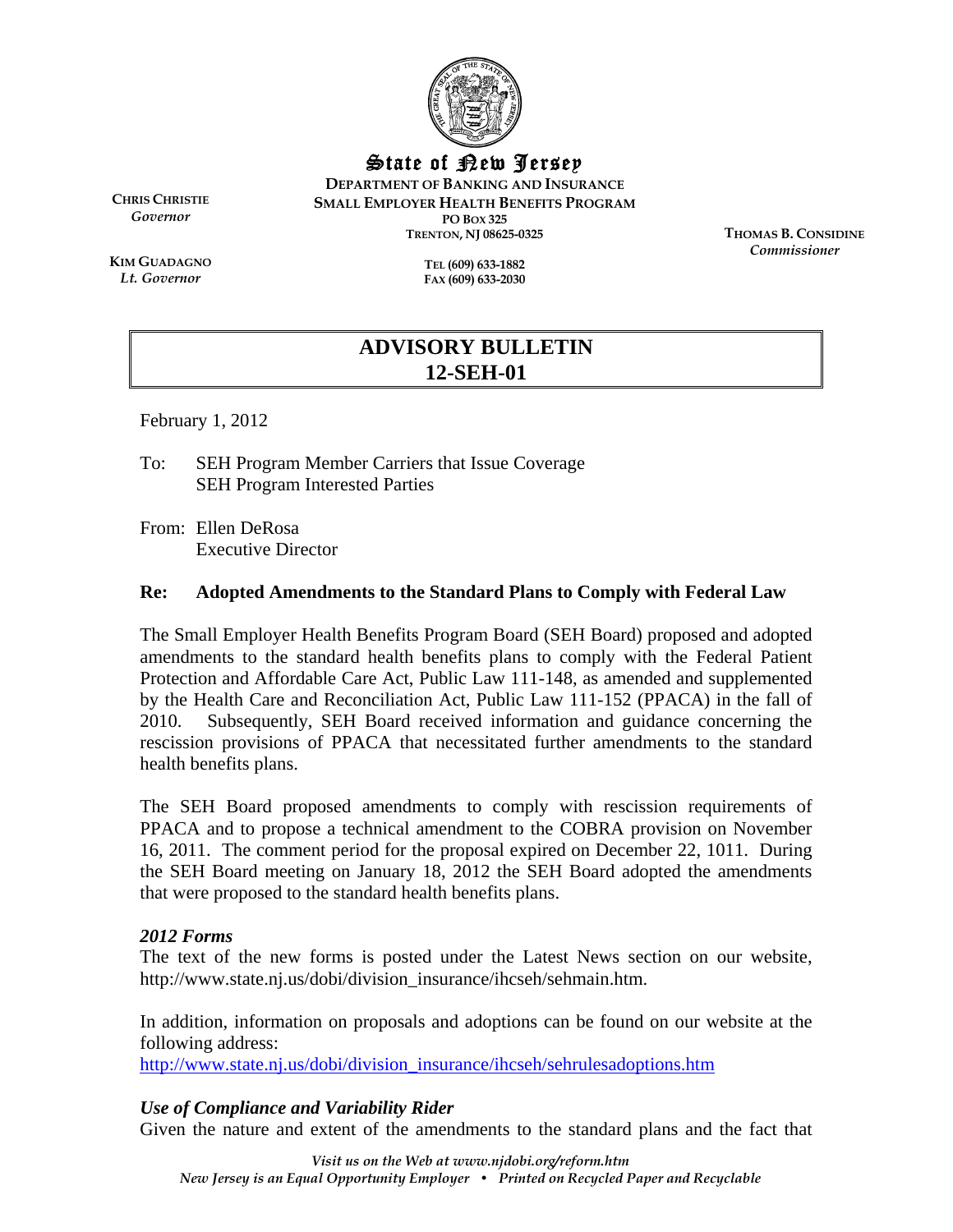

State of New Jersey

**DEPARTMENT OF BANKING AND INSURANCE SMALL EMPLOYER HEALTH BENEFITS PROGRAM PO BOX 325 TRENTON, NJ 08625-0325** 

**CHRIS CHRISTIE** *Governor* 

**KIM GUADAGNO** *Lt. Governor* 

**TEL (609) 633-1882 FAX (609) 633-2030**  **THOMAS B. CONSIDINE** *Commissioner* 

# **ADVISORY BULLETIN 12-SEH-01**

February 1, 2012

To: SEH Program Member Carriers that Issue Coverage SEH Program Interested Parties

From: Ellen DeRosa Executive Director

## **Re: Adopted Amendments to the Standard Plans to Comply with Federal Law**

The Small Employer Health Benefits Program Board (SEH Board) proposed and adopted amendments to the standard health benefits plans to comply with the Federal Patient Protection and Affordable Care Act, Public Law 111-148, as amended and supplemented by the Health Care and Reconciliation Act, Public Law 111-152 (PPACA) in the fall of 2010. Subsequently, SEH Board received information and guidance concerning the rescission provisions of PPACA that necessitated further amendments to the standard health benefits plans.

The SEH Board proposed amendments to comply with rescission requirements of PPACA and to propose a technical amendment to the COBRA provision on November 16, 2011. The comment period for the proposal expired on December 22, 1011. During the SEH Board meeting on January 18, 2012 the SEH Board adopted the amendments that were proposed to the standard health benefits plans.

## *2012 Forms*

The text of the new forms is posted under the Latest News section on our website, http://www.state.nj.us/dobi/division\_insurance/ihcseh/sehmain.htm.

In addition, information on proposals and adoptions can be found on our website at the following address:

http://www.state.nj.us/dobi/division\_insurance/ihcseh/sehrulesadoptions.htm

## *Use of Compliance and Variability Rider*

Given the nature and extent of the amendments to the standard plans and the fact that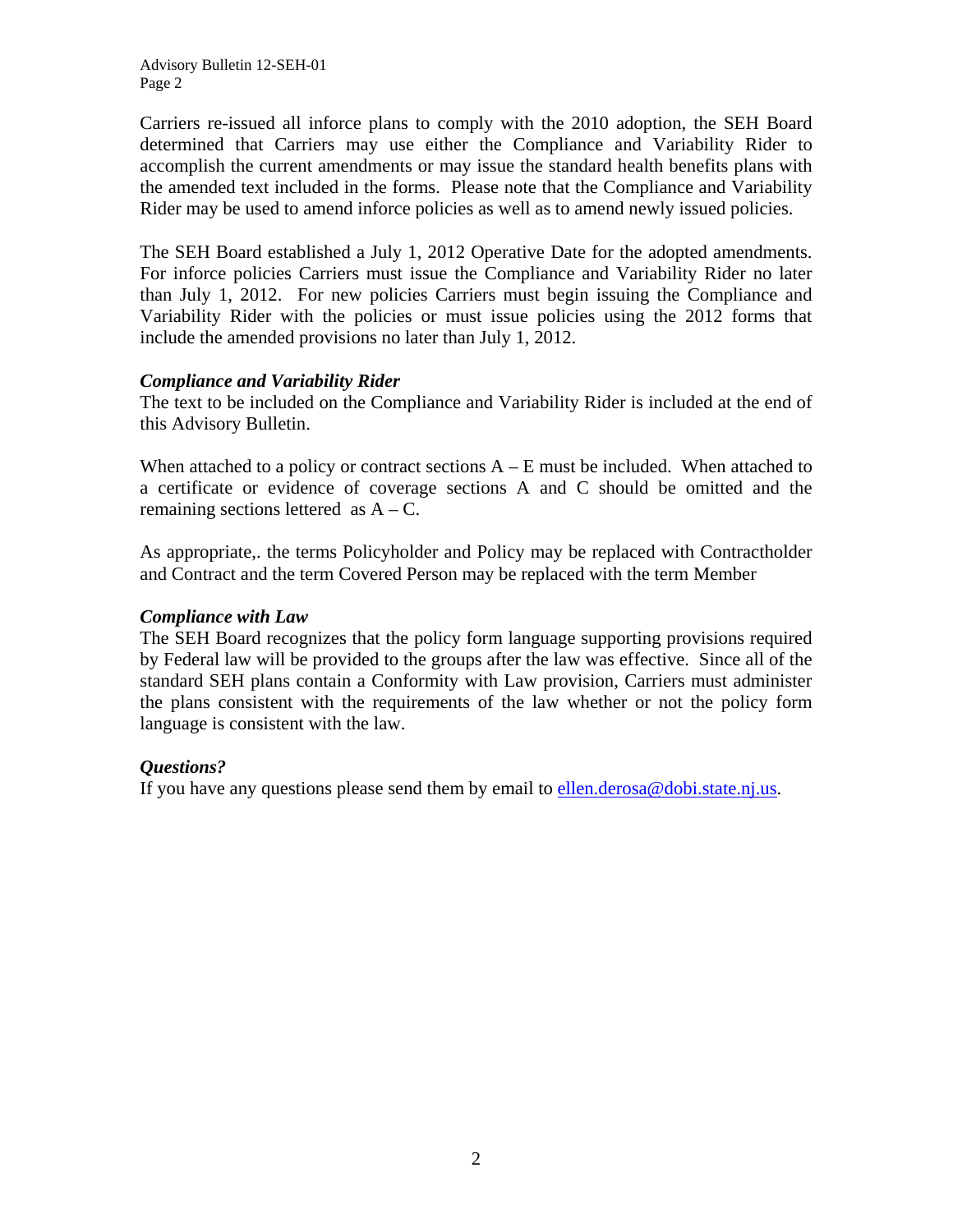Carriers re-issued all inforce plans to comply with the 2010 adoption, the SEH Board determined that Carriers may use either the Compliance and Variability Rider to accomplish the current amendments or may issue the standard health benefits plans with the amended text included in the forms. Please note that the Compliance and Variability Rider may be used to amend inforce policies as well as to amend newly issued policies.

The SEH Board established a July 1, 2012 Operative Date for the adopted amendments. For inforce policies Carriers must issue the Compliance and Variability Rider no later than July 1, 2012. For new policies Carriers must begin issuing the Compliance and Variability Rider with the policies or must issue policies using the 2012 forms that include the amended provisions no later than July 1, 2012.

## *Compliance and Variability Rider*

The text to be included on the Compliance and Variability Rider is included at the end of this Advisory Bulletin.

When attached to a policy or contract sections  $A - E$  must be included. When attached to a certificate or evidence of coverage sections A and C should be omitted and the remaining sections lettered as  $A - C$ .

As appropriate,. the terms Policyholder and Policy may be replaced with Contractholder and Contract and the term Covered Person may be replaced with the term Member

## *Compliance with Law*

The SEH Board recognizes that the policy form language supporting provisions required by Federal law will be provided to the groups after the law was effective. Since all of the standard SEH plans contain a Conformity with Law provision, Carriers must administer the plans consistent with the requirements of the law whether or not the policy form language is consistent with the law.

## *Questions?*

If you have any questions please send them by email to ellen.derosa@dobi.state.nj.us.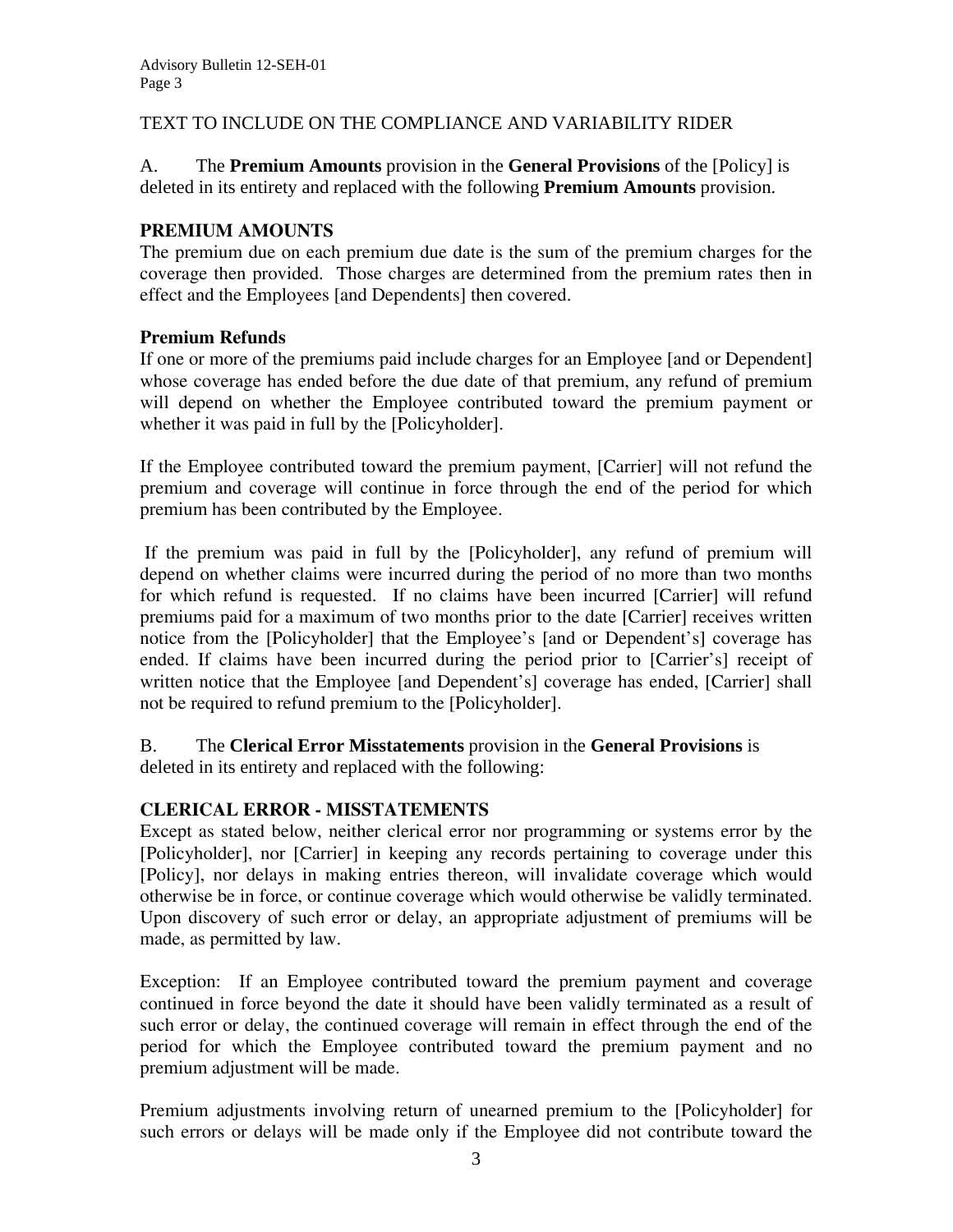## TEXT TO INCLUDE ON THE COMPLIANCE AND VARIABILITY RIDER

A. The **Premium Amounts** provision in the **General Provisions** of the [Policy] is deleted in its entirety and replaced with the following **Premium Amounts** provision.

#### **PREMIUM AMOUNTS**

The premium due on each premium due date is the sum of the premium charges for the coverage then provided. Those charges are determined from the premium rates then in effect and the Employees [and Dependents] then covered.

#### **Premium Refunds**

If one or more of the premiums paid include charges for an Employee [and or Dependent] whose coverage has ended before the due date of that premium, any refund of premium will depend on whether the Employee contributed toward the premium payment or whether it was paid in full by the [Policyholder].

If the Employee contributed toward the premium payment, [Carrier] will not refund the premium and coverage will continue in force through the end of the period for which premium has been contributed by the Employee.

 If the premium was paid in full by the [Policyholder], any refund of premium will depend on whether claims were incurred during the period of no more than two months for which refund is requested. If no claims have been incurred [Carrier] will refund premiums paid for a maximum of two months prior to the date [Carrier] receives written notice from the [Policyholder] that the Employee's [and or Dependent's] coverage has ended. If claims have been incurred during the period prior to [Carrier's] receipt of written notice that the Employee [and Dependent's] coverage has ended, [Carrier] shall not be required to refund premium to the [Policyholder].

#### B. The **Clerical Error Misstatements** provision in the **General Provisions** is deleted in its entirety and replaced with the following:

## **CLERICAL ERROR - MISSTATEMENTS**

Except as stated below, neither clerical error nor programming or systems error by the [Policyholder], nor [Carrier] in keeping any records pertaining to coverage under this [Policy], nor delays in making entries thereon, will invalidate coverage which would otherwise be in force, or continue coverage which would otherwise be validly terminated. Upon discovery of such error or delay, an appropriate adjustment of premiums will be made, as permitted by law.

Exception: If an Employee contributed toward the premium payment and coverage continued in force beyond the date it should have been validly terminated as a result of such error or delay, the continued coverage will remain in effect through the end of the period for which the Employee contributed toward the premium payment and no premium adjustment will be made.

Premium adjustments involving return of unearned premium to the [Policyholder] for such errors or delays will be made only if the Employee did not contribute toward the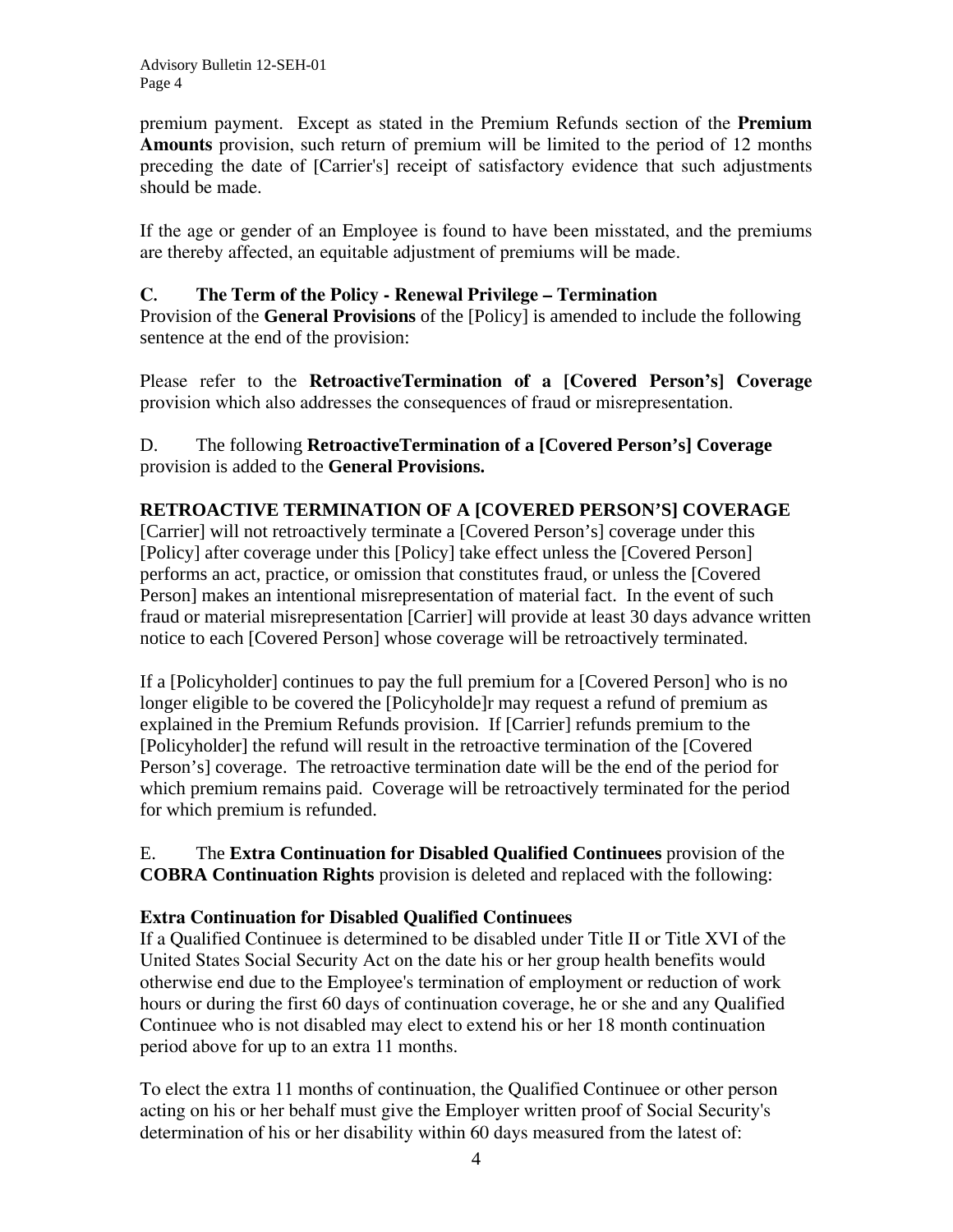premium payment. Except as stated in the Premium Refunds section of the **Premium Amounts** provision, such return of premium will be limited to the period of 12 months preceding the date of [Carrier's] receipt of satisfactory evidence that such adjustments should be made.

If the age or gender of an Employee is found to have been misstated, and the premiums are thereby affected, an equitable adjustment of premiums will be made.

## **C. The Term of the Policy - Renewal Privilege – Termination**

Provision of the **General Provisions** of the [Policy] is amended to include the following sentence at the end of the provision:

Please refer to the **RetroactiveTermination of a [Covered Person's] Coverage** provision which also addresses the consequences of fraud or misrepresentation.

## D. The following **RetroactiveTermination of a [Covered Person's] Coverage**  provision is added to the **General Provisions.**

## **RETROACTIVE TERMINATION OF A [COVERED PERSON'S] COVERAGE**

[Carrier] will not retroactively terminate a [Covered Person's] coverage under this [Policy] after coverage under this [Policy] take effect unless the [Covered Person] performs an act, practice, or omission that constitutes fraud, or unless the [Covered Person] makes an intentional misrepresentation of material fact. In the event of such fraud or material misrepresentation [Carrier] will provide at least 30 days advance written notice to each [Covered Person] whose coverage will be retroactively terminated.

If a [Policyholder] continues to pay the full premium for a [Covered Person] who is no longer eligible to be covered the [Policyholde]r may request a refund of premium as explained in the Premium Refunds provision. If [Carrier] refunds premium to the [Policyholder] the refund will result in the retroactive termination of the [Covered Person's] coverage. The retroactive termination date will be the end of the period for which premium remains paid. Coverage will be retroactively terminated for the period for which premium is refunded.

E. The **Extra Continuation for Disabled Qualified Continuees** provision of the **COBRA Continuation Rights** provision is deleted and replaced with the following:

## **Extra Continuation for Disabled Qualified Continuees**

If a Qualified Continuee is determined to be disabled under Title II or Title XVI of the United States Social Security Act on the date his or her group health benefits would otherwise end due to the Employee's termination of employment or reduction of work hours or during the first 60 days of continuation coverage, he or she and any Qualified Continuee who is not disabled may elect to extend his or her 18 month continuation period above for up to an extra 11 months.

To elect the extra 11 months of continuation, the Qualified Continuee or other person acting on his or her behalf must give the Employer written proof of Social Security's determination of his or her disability within 60 days measured from the latest of: